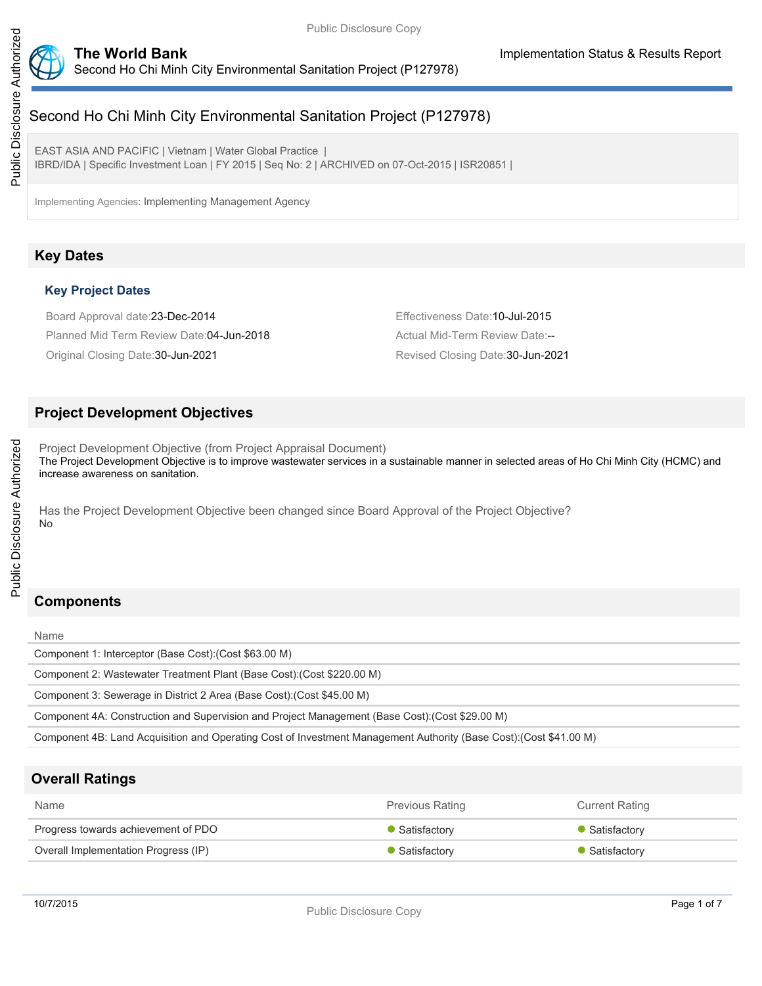

# Second Ho Chi Minh City Environmental Sanitation Project (P127978)

EAST ASIA AND PACIFIC | Vietnam | Water Global Practice | IBRD/IDA | Specific Investment Loan | FY 2015 | Seq No: 2 | ARCHIVED on 07-Oct-2015 | ISR20851 |

Implementing Agencies: Implementing Management Agency

# **Key Dates**

## **Key Project Dates**

Board Approval date:23-Dec-2014 Effectiveness Date:10-Jul-2015 Planned Mid Term Review Date: 04-Jun-2018 Actual Mid-Term Review Date:--Original Closing Date:30-Jun-2021 Revised Closing Date:30-Jun-2021

# **Project Development Objectives**

Project Development Objective (from Project Appraisal Document) The Project Development Objective is to improve wastewater services in a sustainable manner in selected areas of Ho Chi Minh City (HCMC) and increase awareness on sanitation.

Has the Project Development Objective been changed since Board Approval of the Project Objective? No

# **Components**

#### Name

Public Disclosure Authorized

Public Disclosure Authorized

Component 1: Interceptor (Base Cost):(Cost \$63.00 M)

Component 2: Wastewater Treatment Plant (Base Cost):(Cost \$220.00 M)

Component 3: Sewerage in District 2 Area (Base Cost):(Cost \$45.00 M)

Component 4A: Construction and Supervision and Project Management (Base Cost):(Cost \$29.00 M)

Component 4B: Land Acquisition and Operating Cost of Investment Management Authority (Base Cost):(Cost \$41.00 M)

# **Overall Ratings**

| <b>Name</b>                          | <b>Previous Rating</b> | <b>Current Rating</b> |
|--------------------------------------|------------------------|-----------------------|
| Progress towards achievement of PDO  | Satisfactory           | • Satisfactory        |
| Overall Implementation Progress (IP) | Satisfactory           | • Satisfactory        |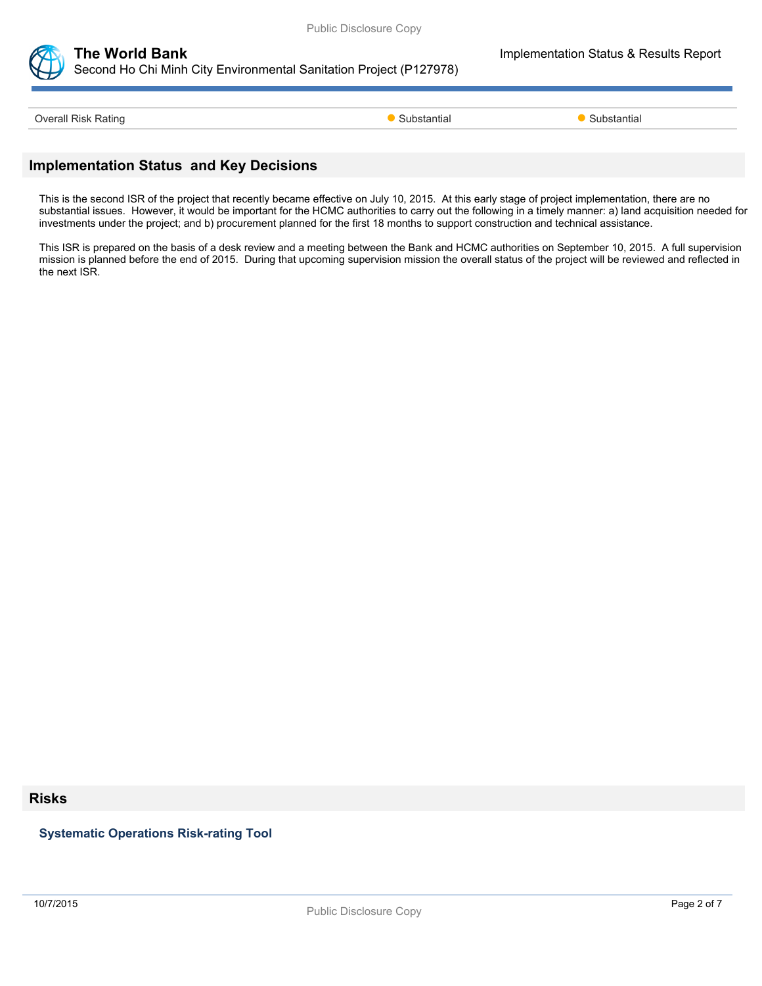

# **The World Bank Implementation Status & Results Report** Second Ho Chi Minh City Environmental Sanitation Project (P127978)

Overall Risk Rating **Substantial Substantial Coverall Risk Rating Substantial Substantial Coverall Risk Rating** 

## **Implementation Status and Key Decisions**

This is the second ISR of the project that recently became effective on July 10, 2015. At this early stage of project implementation, there are no substantial issues. However, it would be important for the HCMC authorities to carry out the following in a timely manner: a) land acquisition needed for investments under the project; and b) procurement planned for the first 18 months to support construction and technical assistance.

This ISR is prepared on the basis of a desk review and a meeting between the Bank and HCMC authorities on September 10, 2015. A full supervision mission is planned before the end of 2015. During that upcoming supervision mission the overall status of the project will be reviewed and reflected in the next ISR.

#### **Risks**

**Systematic Operations Risk-rating Tool**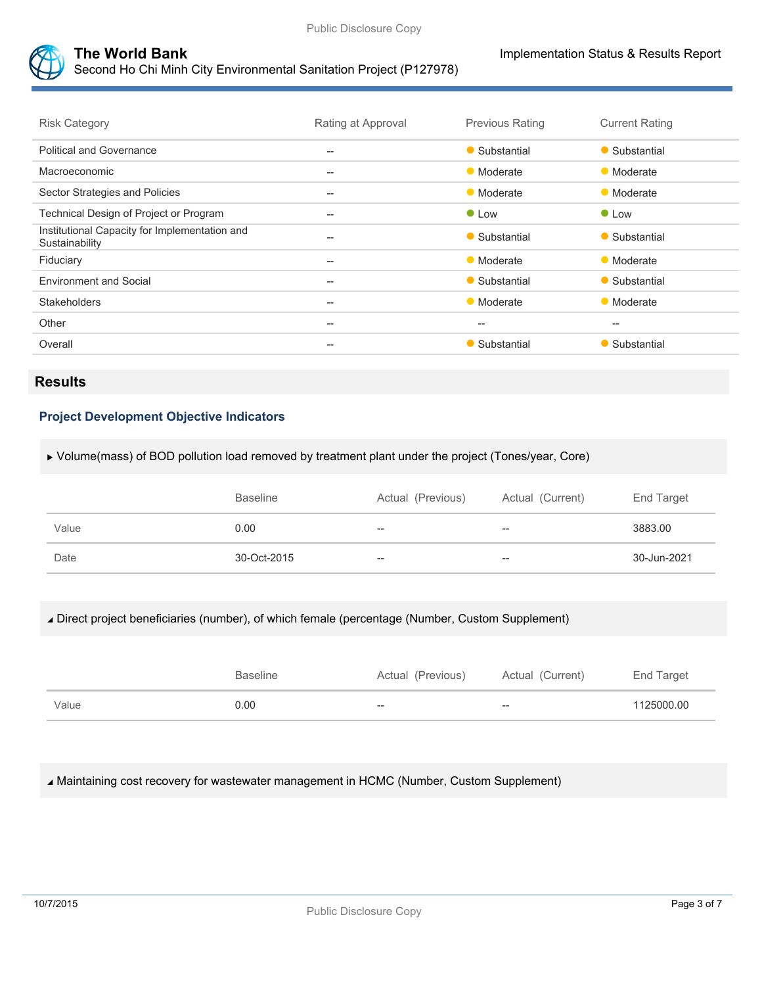

# **The World Bank Implementation Status & Results Report**

Second Ho Chi Minh City Environmental Sanitation Project (P127978)

| <b>Risk Category</b>                                            | Rating at Approval                                  | <b>Previous Rating</b> | <b>Current Rating</b> |
|-----------------------------------------------------------------|-----------------------------------------------------|------------------------|-----------------------|
| <b>Political and Governance</b>                                 | $- -$                                               | • Substantial          | • Substantial         |
| Macroeconomic                                                   | $- -$                                               | • Moderate             | • Moderate            |
| Sector Strategies and Policies                                  | $- -$                                               | • Moderate             | • Moderate            |
| Technical Design of Project or Program                          | $\hspace{0.05cm} -\hspace{0.05cm} -\hspace{0.05cm}$ | $\bullet$ Low          | $\bullet$ Low         |
| Institutional Capacity for Implementation and<br>Sustainability | $- -$                                               | • Substantial          | • Substantial         |
| Fiduciary                                                       | $\qquad \qquad -$                                   | • Moderate             | • Moderate            |
| <b>Environment and Social</b>                                   | $- -$                                               | • Substantial          | • Substantial         |
| <b>Stakeholders</b>                                             | $\hspace{0.05cm} -\hspace{0.05cm} -\hspace{0.05cm}$ | • Moderate             | • Moderate            |
| Other                                                           | $- -$                                               | $-$                    | $-$                   |
| Overall                                                         | $- -$                                               | • Substantial          | Substantial           |

# **Results**

## **Project Development Objective Indicators**

Volume(mass) of BOD pollution load removed by treatment plant under the project (Tones/year, Core)

|       | <b>Baseline</b> | Actual (Previous) | Actual (Current)  | End Target  |
|-------|-----------------|-------------------|-------------------|-------------|
| Value | 0.00            | $- -$             | $\hspace{0.05cm}$ | 3883.00     |
| Date  | 30-Oct-2015     | $-\!$             | $\hspace{0.05cm}$ | 30-Jun-2021 |

Direct project beneficiaries (number), of which female (percentage (Number, Custom Supplement)

|       | Baseline | Actual (Previous) | Actual (Current) | End Target |
|-------|----------|-------------------|------------------|------------|
| Value | 0.00     | --                | --               | 1125000.00 |

Maintaining cost recovery for wastewater management in HCMC (Number, Custom Supplement)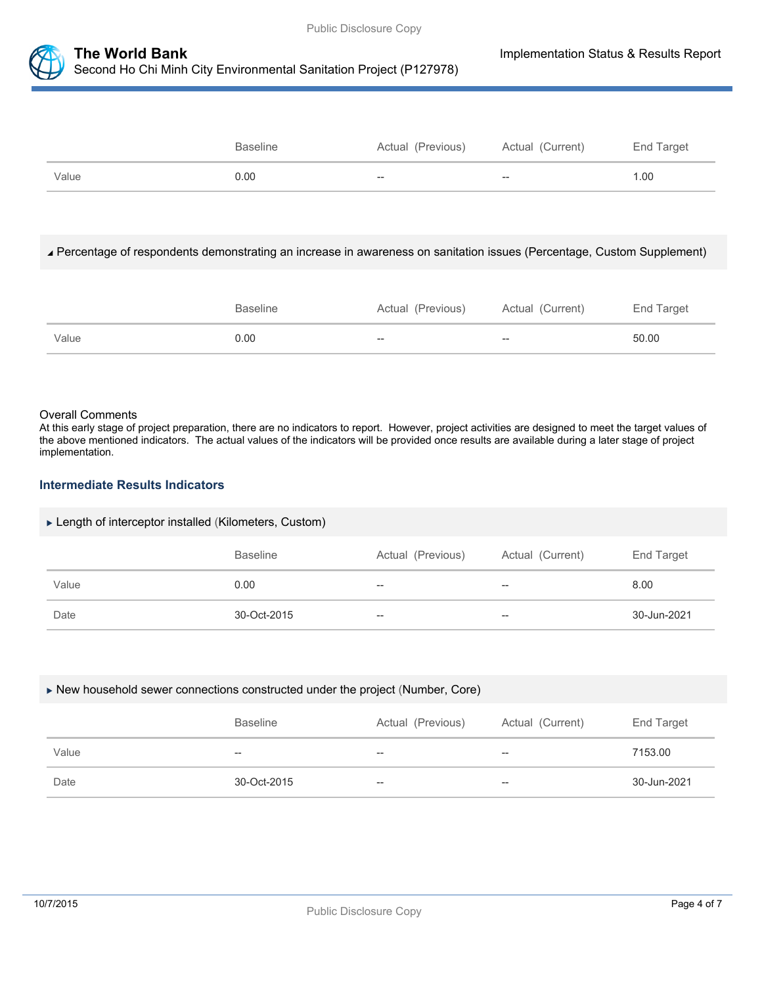

Baseline **Actual (Previous)** Actual (Current) End Target Value 0.00 -- -- 1.00

#### Percentage of respondents demonstrating an increase in awareness on sanitation issues (Percentage, Custom Supplement)

|       | <b>Baseline</b> | Actual (Previous) | Actual (Current) | End Target |
|-------|-----------------|-------------------|------------------|------------|
| Value | 0.00            | $- -$             | $- -$            | 50.00      |

#### Overall Comments

At this early stage of project preparation, there are no indicators to report. However, project activities are designed to meet the target values of the above mentioned indicators. The actual values of the indicators will be provided once results are available during a later stage of project implementation.

#### **Intermediate Results Indicators**

#### ► Length of interceptor installed (Kilometers, Custom)

|       | <b>Baseline</b> | Actual (Previous) | Actual (Current)                      | End Target  |
|-------|-----------------|-------------------|---------------------------------------|-------------|
| Value | 0.00            | $\hspace{0.05cm}$ | $\hspace{0.05cm}$ – $\hspace{0.05cm}$ | 8.00        |
| Date  | 30-Oct-2015     | $-$               | --                                    | 30-Jun-2021 |

#### New household sewer connections constructed under the project (Number, Core)

|       | <b>Baseline</b> | Actual (Previous)        | Actual (Current) | End Target  |
|-------|-----------------|--------------------------|------------------|-------------|
| Value | $- -$           | $- -$                    | $- -$            | 7153.00     |
| Date  | 30-Oct-2015     | $\overline{\phantom{m}}$ | $- -$            | 30-Jun-2021 |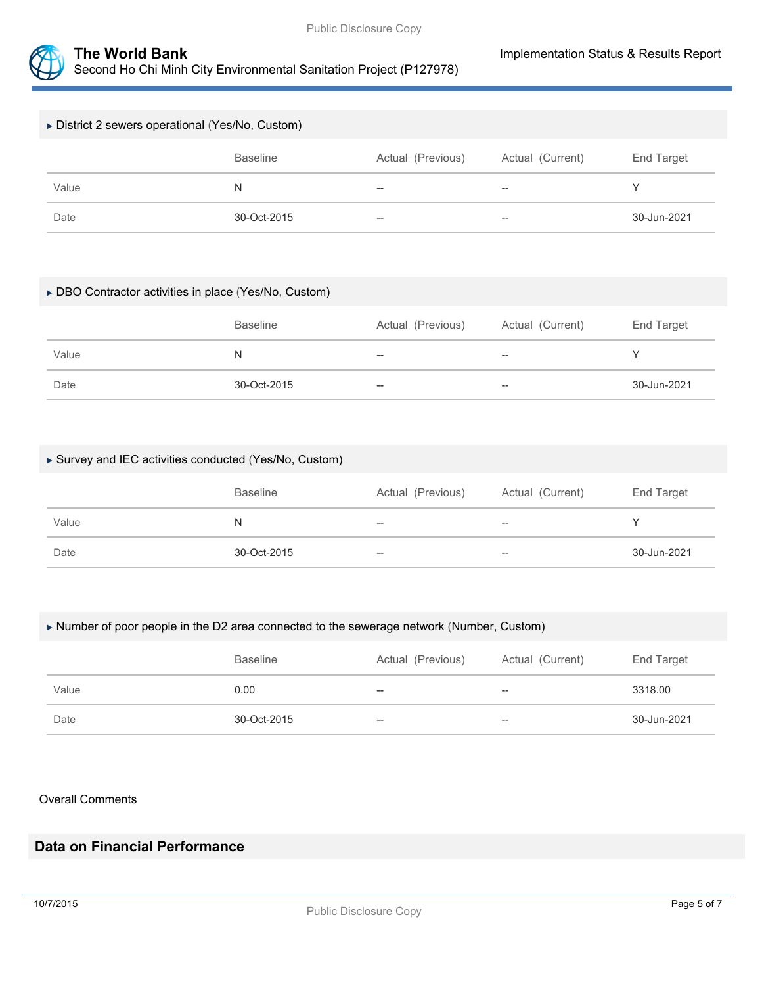

# District 2 sewers operational (Yes/No, Custom) Baseline **Actual (Previous)** Actual (Current) End Target Value N -- -- Y Date 30-Oct-2015 -- -- 30-Jun-2021

#### DBO Contractor activities in place (Yes/No, Custom)

|       | <b>Baseline</b> | Actual (Previous) | Actual (Current) | End Target  |
|-------|-----------------|-------------------|------------------|-------------|
| Value | N               | $- -$             | $- -$            |             |
| Date  | 30-Oct-2015     | $- -$             | $- -$            | 30-Jun-2021 |

#### Survey and IEC activities conducted (Yes/No, Custom)

|       | <b>Baseline</b> | Actual (Previous) | Actual (Current)         | End Target  |
|-------|-----------------|-------------------|--------------------------|-------------|
| Value | N               | $- -$             | $\overline{\phantom{m}}$ |             |
| Date  | 30-Oct-2015     | $-\!$             | $- -$                    | 30-Jun-2021 |

#### Number of poor people in the D2 area connected to the sewerage network (Number, Custom)

|       | <b>Baseline</b> | Actual (Previous) | Actual (Current) | End Target  |
|-------|-----------------|-------------------|------------------|-------------|
| Value | 0.00            | $\hspace{0.05cm}$ | $-\!$            | 3318.00     |
| Date  | 30-Oct-2015     | $-\!$             | $- -$            | 30-Jun-2021 |

#### Overall Comments

# **Data on Financial Performance**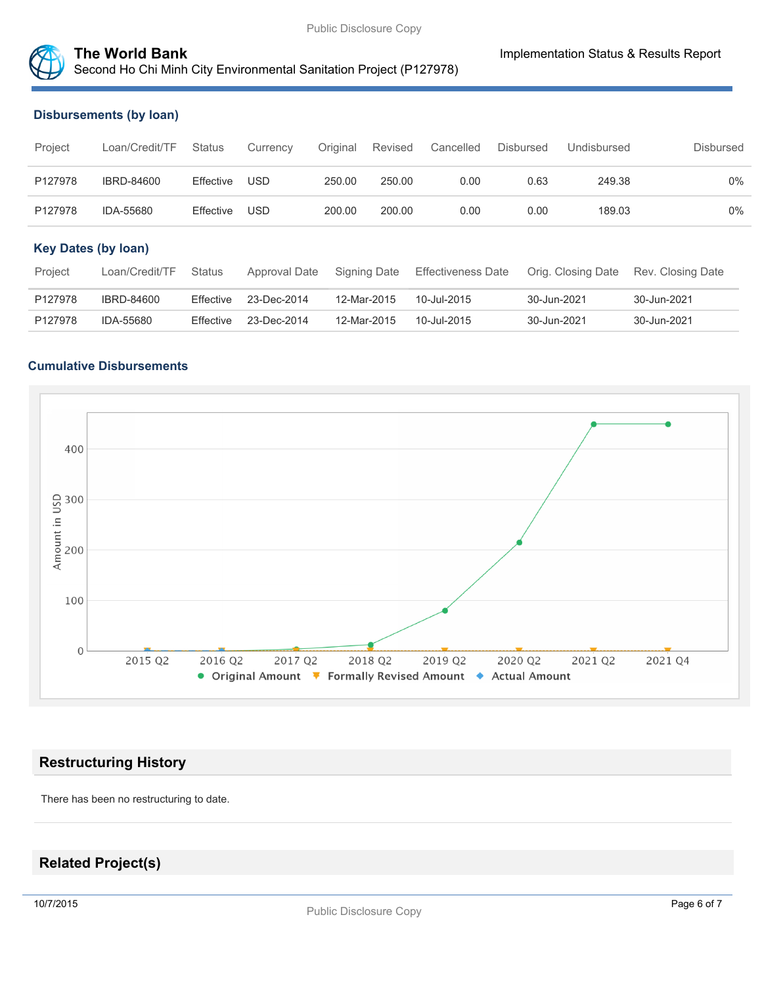

# **The World Bank Implementation Status & Results Report** Second Ho Chi Minh City Environmental Sanitation Project (P127978)

#### **Disbursements (by loan)**

| Project                    | Loan/Credit/TF    | <b>Status</b> | Currency      | Original | Revised      | Cancelled                 | <b>Disbursed</b> | Undisbursed        | Disbursed         |       |
|----------------------------|-------------------|---------------|---------------|----------|--------------|---------------------------|------------------|--------------------|-------------------|-------|
| P127978                    | <b>IBRD-84600</b> | Effective     | <b>USD</b>    | 250.00   | 250.00       | 0.00                      | 0.63             | 249.38             |                   | $0\%$ |
| P127978                    | IDA-55680         | Effective     | USD           | 200.00   | 200.00       | 0.00                      | 0.00             | 189.03             |                   | $0\%$ |
| <b>Key Dates (by loan)</b> |                   |               |               |          |              |                           |                  |                    |                   |       |
| Project                    | Loan/Credit/TF    | <b>Status</b> | Approval Date |          | Signing Date | <b>Effectiveness Date</b> |                  | Orig. Closing Date | Rev. Closing Date |       |
| P127978                    | IBRD-84600        | Effective     | 23-Dec-2014   |          | 12-Mar-2015  | 10-Jul-2015               |                  | 30-Jun-2021        | 30-Jun-2021       |       |
| P127978                    | IDA-55680         | Effective     | 23-Dec-2014   |          | 12-Mar-2015  | 10-Jul-2015               |                  | 30-Jun-2021        | 30-Jun-2021       |       |

#### **Cumulative Disbursements**



# **Restructuring History**

There has been no restructuring to date.

# **Related Project(s)**